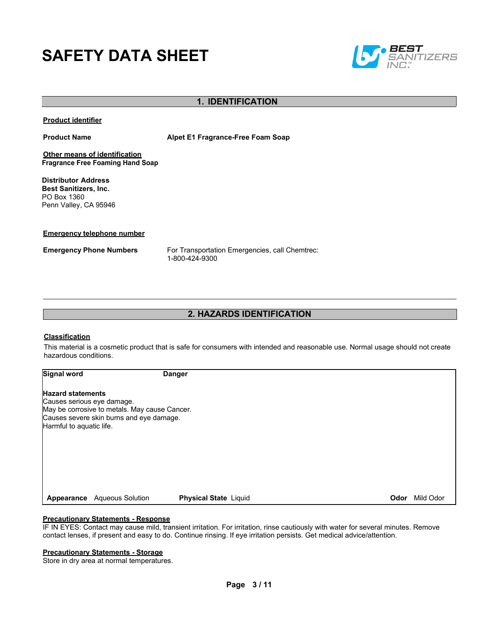# **SAFETY DATA SHEET**



## **1. IDENTIFICATION**

**Product identifier**

**Product Name Alpet E1 Fragrance-Free Foam Soap**

**Other means of identification Fragrance Free Foaming Hand Soap**

**Distributor Address Best Sanitizers, Inc.**  PO Box 1360 Penn Valley, CA 95946

**Emergency telephone number**

**Emergency Phone Numbers** For Transportation Emergencies, call Chemtrec: 1-800-424-9300

## **2. HAZARDS IDENTIFICATION**

#### **Classification**

This material is a cosmetic product that is safe for consumers with intended and reasonable use. Normal usage should not create hazardous conditions.

**Signal word Danger**

#### **Hazard statements**

Causes serious eye damage. May be corrosive to metals. May cause Cancer. Causes severe skin burns and eye damage. Harmful to aquatic life.

**Appearance** Aqueous Solution **Physical State** Liquid **Odor** Mild Odor

#### **Precautionary Statements - Response**

IF IN EYES: Contact may cause mild, transient irritation. For irritation, rinse cautiously with water for several minutes. Remove contact lenses, if present and easy to do. Continue rinsing. If eye irritation persists. Get medical advice/attention.

#### **Precautionary Statements - Storage**

Store in dry area at normal temperatures.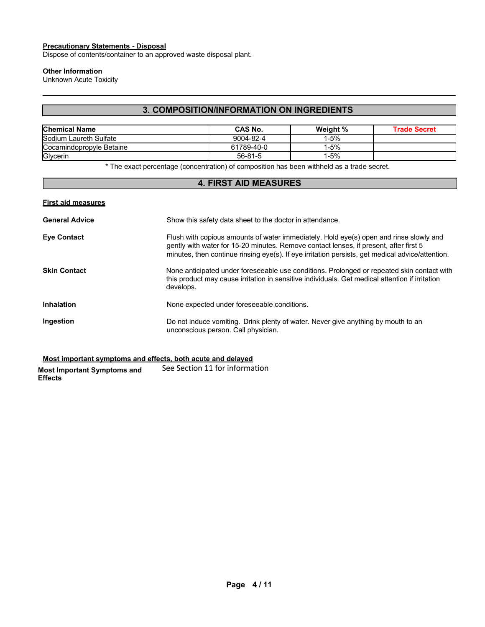## **Precautionary Statements - Disposal**

Dispose of contents/container to an approved waste disposal plant.

#### **Other Information**

Unknown Acute Toxicity

## **3. COMPOSITION/INFORMATION ON INGREDIENTS**

| <b>Chemical Name</b>     | CAS No.    | Weight % | Trade Secret |
|--------------------------|------------|----------|--------------|
| Sodium Laureth Sulfate   | 9004-82-4  | l-5%     |              |
| Cocamindopropyle Betaine | 61789-40-0 | l-5%     |              |
| Glycerin                 | 56-81-5    | l-5%     |              |

\* The exact percentage (concentration) of composition has been withheld as a trade secret.

## **4. FIRST AID MEASURES**

| <b>First aid measures</b> |                                                                                                                                                                                                                                                                                     |
|---------------------------|-------------------------------------------------------------------------------------------------------------------------------------------------------------------------------------------------------------------------------------------------------------------------------------|
| <b>General Advice</b>     | Show this safety data sheet to the doctor in attendance.                                                                                                                                                                                                                            |
| <b>Eye Contact</b>        | Flush with copious amounts of water immediately. Hold eye(s) open and rinse slowly and<br>gently with water for 15-20 minutes. Remove contact lenses, if present, after first 5<br>minutes, then continue rinsing eye(s). If eye irritation persists, get medical advice/attention. |
| Skin Contact              | None anticipated under foreseeable use conditions. Prolonged or repeated skin contact with<br>this product may cause irritation in sensitive individuals. Get medical attention if irritation<br>develops.                                                                          |
| Inhalation                | None expected under foreseeable conditions.                                                                                                                                                                                                                                         |
| Ingestion                 | Do not induce vomiting. Drink plenty of water. Never give anything by mouth to an<br>unconscious person. Call physician.                                                                                                                                                            |
|                           |                                                                                                                                                                                                                                                                                     |

**Most important symptoms and effects, both acute and delayed**

**Most Important Symptoms and Effects** See Section 11 for information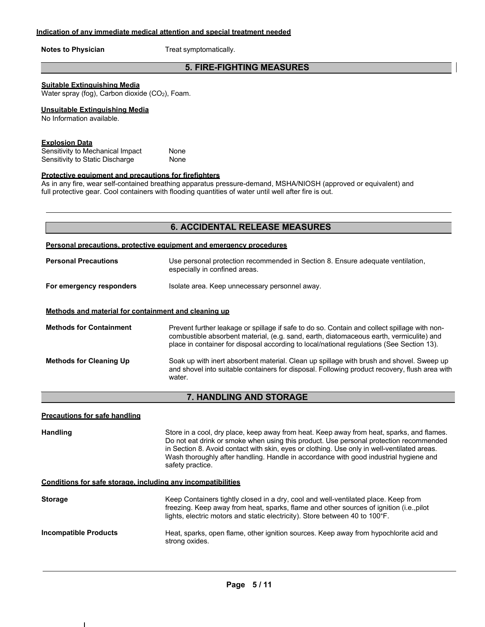**Notes to Physician** Treat symptomatically.

## **5. FIRE-FIGHTING MEASURES**

#### **Suitable Extinguishing Media**

Water spray (fog), Carbon dioxide (CO<sub>2</sub>), Foam.

#### **Unsuitable Extinguishing Media**

No Information available.

#### **Explosion Data**

Sensitivity to Mechanical Impact None Sensitivity to Static Discharge None

#### **Protective equipment and precautions for firefighters**

As in any fire, wear self-contained breathing apparatus pressure-demand, MSHA/NIOSH (approved or equivalent) and full protective gear. Cool containers with flooding quantities of water until well after fire is out.

#### **Personal precautions, protective equipment and emergency procedures**

| <b>Personal Precautions</b>                          | Use personal protection recommended in Section 8. Ensure adequate ventilation,<br>especially in confined areas. |  |  |
|------------------------------------------------------|-----------------------------------------------------------------------------------------------------------------|--|--|
| For emergency responders                             | Isolate area. Keep unnecessary personnel away.                                                                  |  |  |
| Methods and material for containment and cleaning up |                                                                                                                 |  |  |

**Methods for Containment** Prevent further leakage or spillage if safe to do so. Contain and collect spillage with noncombustible absorbent material, (e.g. sand, earth, diatomaceous earth, vermiculite) and place in container for disposal according to local/national regulations (See Section 13). **Methods for Cleaning Up** Soak up with inert absorbent material. Clean up spillage with brush and shovel. Sweep up and shovel into suitable containers for disposal. Following product recovery, flush area with water.

### **7. HANDLING AND STORAGE**

#### **Precautions for safe handling**

Handling **Store in a cool, dry place, keep away from heat. Keep away from heat, sparks, and flames.** Do not eat drink or smoke when using this product. Use personal protection recommended in Section 8. Avoid contact with skin, eyes or clothing. Use only in well-ventilated areas. Wash thoroughly after handling. Handle in accordance with good industrial hygiene and safety practice.

#### **Conditions for safe storage, including any incompatibilities**

| <b>Storage</b>               | Keep Containers tightly closed in a dry, cool and well-ventilated place. Keep from<br>freezing. Keep away from heat, sparks, flame and other sources of ignition (i.e., pilot<br>lights, electric motors and static electricity). Store between 40 to 100°F. |
|------------------------------|--------------------------------------------------------------------------------------------------------------------------------------------------------------------------------------------------------------------------------------------------------------|
| <b>Incompatible Products</b> | Heat, sparks, open flame, other ignition sources. Keep away from hypochlorite acid and<br>strong oxides.                                                                                                                                                     |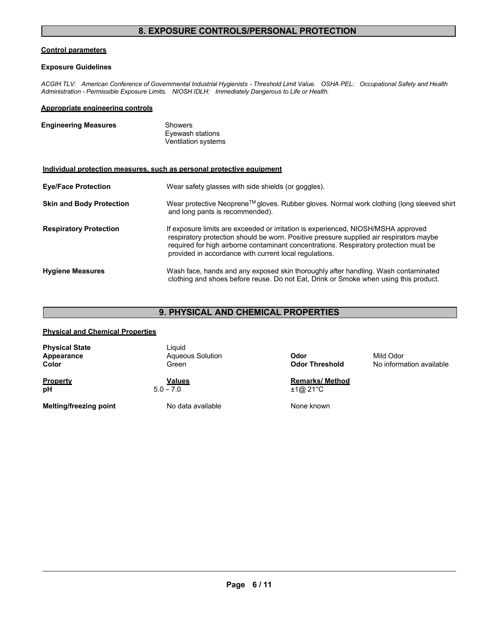## **8. EXPOSURE CONTROLS/PERSONAL PROTECTION**

#### **Control parameters**

#### **Exposure Guidelines**

*ACGIH TLV: American Conference of Governmental Industrial Hygienists - Threshold Limit Value. OSHA PEL: Occupational Safety and Health Administration - Permissible Exposure Limits. NIOSH IDLH: Immediately Dangerous to Life or Health.*

#### **Appropriate engineering controls**

| <b>Engineering Measures</b> | Showers                                 |
|-----------------------------|-----------------------------------------|
|                             | Eyewash stations<br>Ventilation systems |

#### **Individual protection measures, such as personal protective equipment**

| <b>Eye/Face Protection</b>      | Wear safety glasses with side shields (or goggles).                                                                                                                                                                                                                                                                             |  |
|---------------------------------|---------------------------------------------------------------------------------------------------------------------------------------------------------------------------------------------------------------------------------------------------------------------------------------------------------------------------------|--|
| <b>Skin and Body Protection</b> | Wear protective Neoprene™ gloves. Rubber gloves. Normal work clothing (long sleeved shirt<br>and long pants is recommended).                                                                                                                                                                                                    |  |
| <b>Respiratory Protection</b>   | If exposure limits are exceeded or irritation is experienced, NIOSH/MSHA approved<br>respiratory protection should be worn. Positive pressure supplied air respirators maybe<br>required for high airborne contaminant concentrations. Respiratory protection must be<br>provided in accordance with current local regulations. |  |
| <b>Hygiene Measures</b>         | Wash face, hands and any exposed skin thoroughly after handling. Wash contaminated<br>clothing and shoes before reuse. Do not Eat, Drink or Smoke when using this product.                                                                                                                                                      |  |

## **9. PHYSICAL AND CHEMICAL PROPERTIES**

#### **Physical and Chemical Properties**

| <b>Property</b>                              | Values                                     | <b>Remarks/Method</b>         |                                       |
|----------------------------------------------|--------------------------------------------|-------------------------------|---------------------------------------|
| <b>Physical State</b><br>Appearance<br>Color | Liauid<br><b>Agueous Solution</b><br>Green | Odor<br><b>Odor Threshold</b> | Mild Odor<br>No information available |

**Melting/freezing point** No data available None known

**pH** 5.0 – 7.0  $\overline{+1@21^{\circ}C}$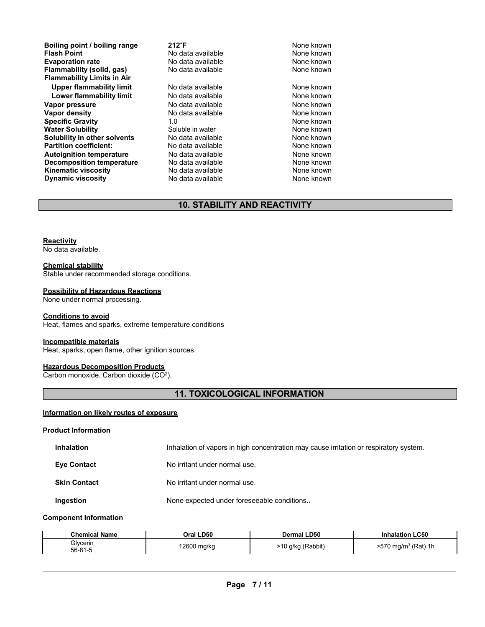**Boiling point / boiling range 212<sup>°</sup>F 212<sup>°</sup>F 1212<sup>°</sup>F 1212**<sup><sup>6</sup>F **1211 1211 1211 1211 121**</sup> **Evaporation rate Reserve State and Reserve Algebra 10 None known**<br> **Flammability (solid, gas)** No data available **None known** None known **Flammability** (solid, gas) **Flammability Limits in Air** Upper flammability limit **No data available** None known **Lower flammability limit** No data available **None known**<br>
No data available **None known**<br>
None known **Vapor pressure No data available and the None known**<br> **Vapor density No data available None known**<br>
No data available **None known Specific Gravity** 1.0 1.0 **None known**<br> **Water Solubility** Coluble in water Columbus None known **Water Solubility** Soluble in water None known **Solubility in other solvents** No data available **None known**<br> **Partition coefficient:** No data available None known **Partition coefficient: No data available**<br> **Autoignition temperature** No data available **Autoignition temperature No data available None known**<br> **Decomposition temperature** No data available **None known**<br>
None known **Decomposition temperature** No data available None known<br> **Kinematic viscosity** No data available None known **Kinematic viscosity**<br> **Contains the Contract Contract Contract Contract Contract Contract Contract Contract Contract Contract Contract Contract Contract Contract Contract Contract Contract Contract Contract Contract Contr Dynamic viscosity** 

**Francisco Monemand Point None known**<br>No data available None known **Vapor density None known None known**<br>1.0 **None known** 

## **10. STABILITY AND REACTIVITY**

#### **Reactivity**

No data available.

#### **Chemical stability**

Stable under recommended storage conditions.

#### **Possibility of Hazardous Reactions**

None under normal processing.

#### **Conditions to avoid**

Heat, flames and sparks, extreme temperature conditions

#### **Incompatible materials**

Heat, sparks, open flame, other ignition sources.

#### **Hazardous Decomposition Products**

Carbon monoxide. Carbon dioxide  $(CO<sup>2</sup>)$ .

## **11. TOXICOLOGICAL INFORMATION**

#### **Information on likely routes of exposure**

#### **Product Information**

| <b>Inhalation</b>   | Inhalation of vapors in high concentration may cause irritation or respiratory system. |
|---------------------|----------------------------------------------------------------------------------------|
| <b>Eve Contact</b>  | No irritant under normal use.                                                          |
| <b>Skin Contact</b> | No irritant under normal use.                                                          |
| Ingestion           | None expected under foreseeable conditions                                             |

#### **Component Information**

| <b>Chemical Name</b> | Oral LD50   | Dermal LD50       | <b>LC50</b><br>Inhalation         |
|----------------------|-------------|-------------------|-----------------------------------|
| Glycerin<br>56-81-5  | 12600 mg/kg | ∗10 q/kg (Rabbit) | $>570$ mg/m <sup>3</sup> (Rat) 1h |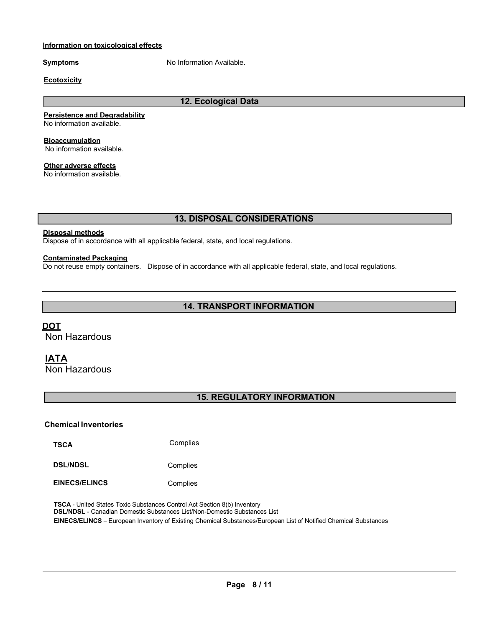### **Information on toxicological effects**

**Symptoms** No Information Available.

#### **Ecotoxicity**

## **12. Ecological Data**

#### **Persistence and Degradability**

No information available.

**Bioaccumulation**

No information available.

## **Other adverse effects**

No information available.

## **13. DISPOSAL CONSIDERATIONS**

### **Disposal methods**

Dispose of in accordance with all applicable federal, state, and local regulations.

## **Contaminated Packaging**

Do not reuse empty containers. Dispose of in accordance with all applicable federal, state, and local regulations.

## **14. TRANSPORT INFORMATION**

## **DOT**

Non Hazardous

## **IATA**

Non Hazardous

## **15. REGULATORY INFORMATION**

### **Chemical Inventories**

**TSCA** Complies

**DSL/NDSL** Complies

**EINECS/ELINCS** Complies

**TSCA** - United States Toxic Substances Control Act Section 8(b) Inventory **DSL/NDSL** - Canadian Domestic Substances List/Non-Domestic Substances List **EINECS/ELINCS** – European Inventory of Existing Chemical Substances/European List of Notified Chemical Substances